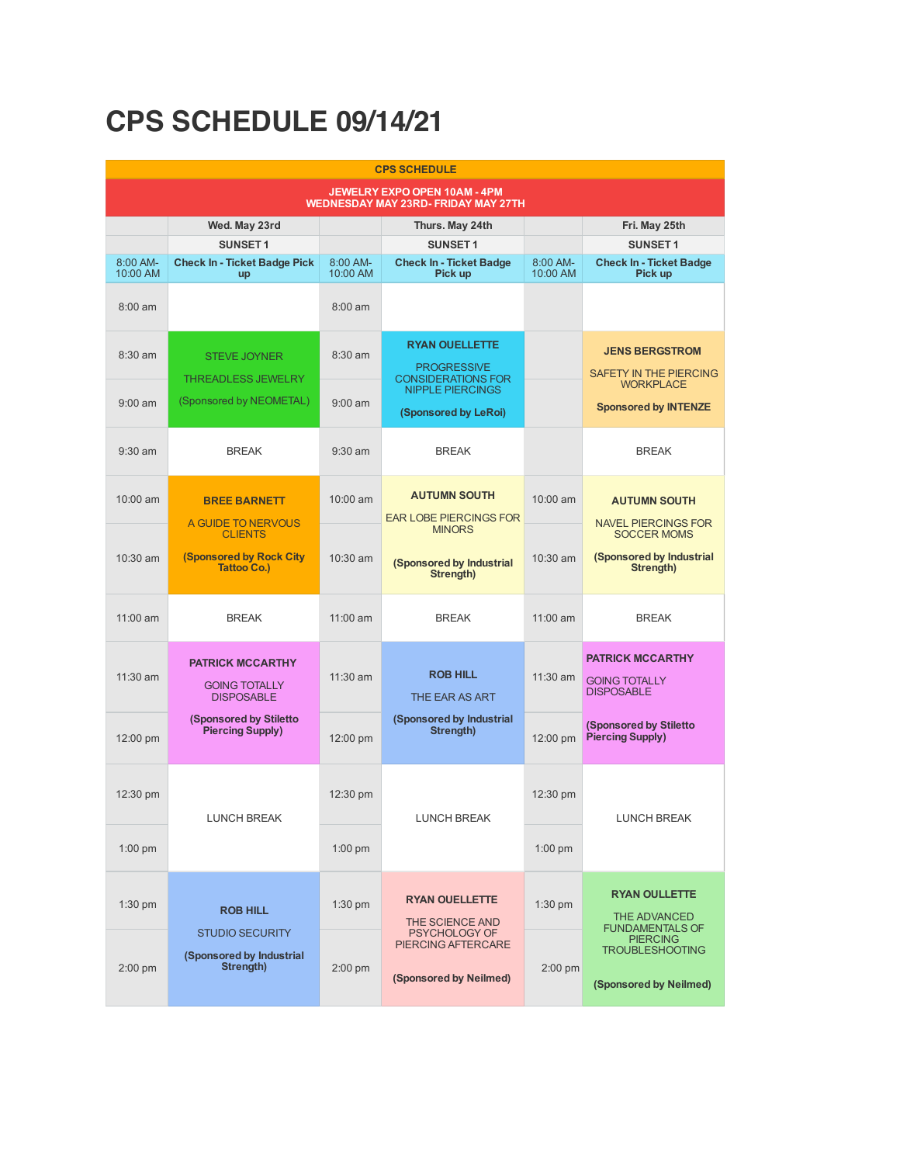## **CPS SCHEDULE 09/14/21**

| <b>CPS SCHEDULE</b>                                                        |                                                                                    |                      |                                                                          |                      |                                                                       |  |  |  |  |
|----------------------------------------------------------------------------|------------------------------------------------------------------------------------|----------------------|--------------------------------------------------------------------------|----------------------|-----------------------------------------------------------------------|--|--|--|--|
| JEWELRY EXPO OPEN 10AM - 4PM<br><b>WEDNESDAY MAY 23RD- FRIDAY MAY 27TH</b> |                                                                                    |                      |                                                                          |                      |                                                                       |  |  |  |  |
|                                                                            | Wed. May 23rd                                                                      |                      | Thurs. May 24th                                                          |                      | Fri. May 25th                                                         |  |  |  |  |
|                                                                            | <b>SUNSET1</b>                                                                     |                      | <b>SUNSET1</b>                                                           |                      | <b>SUNSET1</b>                                                        |  |  |  |  |
| 8:00 AM-<br>10:00 AM                                                       | <b>Check In - Ticket Badge Pick</b><br>up                                          | 8:00 AM-<br>10:00 AM | <b>Check In - Ticket Badge</b><br>Pick up                                | 8:00 AM-<br>10:00 AM | <b>Check In - Ticket Badge</b><br>Pick up                             |  |  |  |  |
| $8:00$ am                                                                  |                                                                                    | $8:00$ am            |                                                                          |                      |                                                                       |  |  |  |  |
| $8:30$ am                                                                  | <b>STEVE JOYNER</b><br><b>THREADLESS JEWELRY</b>                                   | 8:30 am              | <b>RYAN OUELLETTE</b><br><b>PROGRESSIVE</b><br><b>CONSIDERATIONS FOR</b> |                      | <b>JENS BERGSTROM</b><br><b>SAFETY IN THE PIERCING</b>                |  |  |  |  |
| $9:00$ am                                                                  | (Sponsored by NEOMETAL)                                                            | $9:00$ am            | <b>NIPPLE PIERCINGS</b><br>(Sponsored by LeRoi)                          |                      | <b>WORKPLACE</b><br><b>Sponsored by INTENZE</b>                       |  |  |  |  |
| $9:30$ am                                                                  | <b>BREAK</b>                                                                       | $9:30$ am            | <b>BREAK</b>                                                             |                      | <b>BREAK</b>                                                          |  |  |  |  |
| $10:00$ am                                                                 | <b>BREE BARNETT</b><br>A GUIDE TO NERVOUS                                          | 10:00 am             | <b>AUTUMN SOUTH</b><br><b>EAR LOBE PIERCINGS FOR</b>                     | 10:00 am             | <b>AUTUMN SOUTH</b><br><b>NAVEL PIERCINGS FOR</b>                     |  |  |  |  |
|                                                                            | <b>CLIENTS</b>                                                                     |                      | <b>MINORS</b>                                                            |                      | <b>SOCCER MOMS</b>                                                    |  |  |  |  |
| $10:30$ am                                                                 | <b>(Sponsored by Rock City)</b><br><b>Tattoo Co.)</b>                              | $10:30$ am           | (Sponsored by Industrial<br>Strength)                                    | $10:30$ am           | (Sponsored by Industrial<br>Strength)                                 |  |  |  |  |
| $11:00$ am                                                                 | <b>BREAK</b>                                                                       | 11:00 am             | <b>BREAK</b>                                                             | 11:00 am             | <b>BREAK</b>                                                          |  |  |  |  |
| $11:30$ am                                                                 | <b>PATRICK MCCARTHY</b><br><b>GOING TOTALLY</b><br><b>DISPOSABLE</b>               | 11:30 am             | <b>ROB HILL</b><br>THE EAR AS ART                                        | $11:30$ am           | <b>PATRICK MCCARTHY</b><br><b>GOING TOTALLY</b><br><b>DISPOSABLE</b>  |  |  |  |  |
| 12:00 pm                                                                   | <b>(Sponsored by Stiletto</b><br><b>Piercing Supply)</b>                           | 12:00 pm             | (Sponsored by Industrial<br>Strength)                                    | 12:00 pm             | <b>(Sponsored by Stiletto)</b><br>Piercing Supply)                    |  |  |  |  |
| 12:30 pm                                                                   | <b>LUNCH BREAK</b>                                                                 | 12:30 pm             | <b>LUNCH BREAK</b>                                                       | 12:30 pm             | LUNCH BREAK                                                           |  |  |  |  |
| $1:00$ pm                                                                  |                                                                                    | $1:00$ pm            |                                                                          | $1:00$ pm            |                                                                       |  |  |  |  |
| $1:30$ pm                                                                  | <b>ROB HILL</b><br><b>STUDIO SECURITY</b><br>(Sponsored by Industrial<br>Strength) | $1:30$ pm            | <b>RYAN OUELLETTE</b><br>THE SCIENCE AND                                 | $1:30$ pm            | <b>RYAN OULLETTE</b><br><b>THE ADVANCED</b><br><b>FUNDAMENTALS OF</b> |  |  |  |  |
| $2:00$ pm                                                                  |                                                                                    | $2:00$ pm            | <b>PSYCHOLOGY OF</b><br>PIERCING AFTERCARE<br>(Sponsored by Neilmed)     | 2:00 pm              | <b>PIERCING</b><br><b>TROUBLESHOOTING</b><br>(Sponsored by Neilmed)   |  |  |  |  |